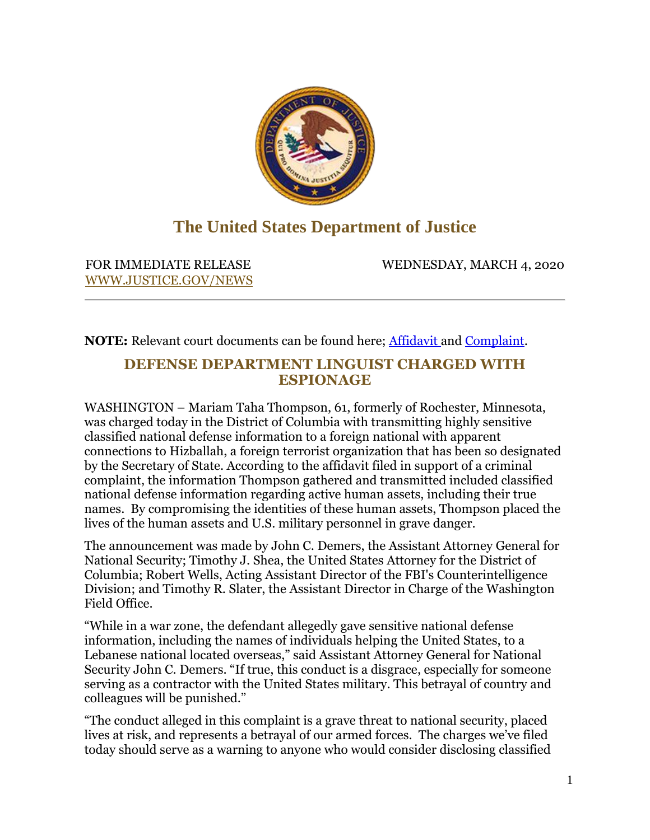

## **The United States Department of Justice**

[WWW.JUSTICE.GOV/NEWS](https://lnks.gd/l/eyJhbGciOiJIUzI1NiJ9.eyJidWxsZXRpbl9saW5rX2lkIjoxMDEsInVyaSI6ImJwMjpjbGljayIsImJ1bGxldGluX2lkIjoiMjAyMDAzMDQuMTgxODEyOTEiLCJ1cmwiOiJIVFRQUzovL1dXVy5KVVNUSUNFLkdPVi9ORVdTP3V0bV9tZWRpdW09ZW1haWwmdXRtX3NvdXJjZT1nb3ZkZWxpdmVyeSJ9.m2h0NFKeEYB4Ad14rBDpFxHMmTCgQQ6pGHmeW5Yfi68/br/75672804800-l)

FOR IMMEDIATE RELEASE WEDNESDAY, MARCH 4, 2020

**NOTE:** Relevant court documents can be found here; [Affidavit a](https://lnks.gd/l/eyJhbGciOiJIUzI1NiJ9.eyJidWxsZXRpbl9saW5rX2lkIjoxMDIsInVyaSI6ImJwMjpjbGljayIsImJ1bGxldGluX2lkIjoiMjAyMDAzMDQuMTgxODEyOTEiLCJ1cmwiOiJodHRwczovL3d3dy5qdXN0aWNlLmdvdi9vcGEvcHJlc3MtcmVsZWFzZS9maWxlLzEyNTU3MzEvZG93bmxvYWQ_dXRtX21lZGl1bT1lbWFpbCZ1dG1fc291cmNlPWdvdmRlbGl2ZXJ5In0.0SMIeKExfK9b5nE_oWJMvUXoK1iMQy81PvZJsuqRHS4/br/75672804800-l)nd [Complaint.](https://lnks.gd/l/eyJhbGciOiJIUzI1NiJ9.eyJidWxsZXRpbl9saW5rX2lkIjoxMDMsInVyaSI6ImJwMjpjbGljayIsImJ1bGxldGluX2lkIjoiMjAyMDAzMDQuMTgxODEyOTEiLCJ1cmwiOiJodHRwczovL3d3dy5qdXN0aWNlLmdvdi9vcGEvcHJlc3MtcmVsZWFzZS9maWxlLzEyNTU3MzYvZG93bmxvYWQ_dXRtX21lZGl1bT1lbWFpbCZ1dG1fc291cmNlPWdvdmRlbGl2ZXJ5In0.rwmbDuAUZcEdgLssnYC0G6-kpqK7ncHosAg0W9olaEI/br/75672804800-l)

## **DEFENSE DEPARTMENT LINGUIST CHARGED WITH ESPIONAGE**

WASHINGTON – Mariam Taha Thompson, 61, formerly of Rochester, Minnesota, was charged today in the District of Columbia with transmitting highly sensitive classified national defense information to a foreign national with apparent connections to Hizballah, a foreign terrorist organization that has been so designated by the Secretary of State. According to the affidavit filed in support of a criminal complaint, the information Thompson gathered and transmitted included classified national defense information regarding active human assets, including their true names. By compromising the identities of these human assets, Thompson placed the lives of the human assets and U.S. military personnel in grave danger.

The announcement was made by John C. Demers, the Assistant Attorney General for National Security; Timothy J. Shea, the United States Attorney for the District of Columbia; Robert Wells, Acting Assistant Director of the FBI's Counterintelligence Division; and Timothy R. Slater, the Assistant Director in Charge of the Washington Field Office.

"While in a war zone, the defendant allegedly gave sensitive national defense information, including the names of individuals helping the United States, to a Lebanese national located overseas," said Assistant Attorney General for National Security John C. Demers. "If true, this conduct is a disgrace, especially for someone serving as a contractor with the United States military. This betrayal of country and colleagues will be punished."

"The conduct alleged in this complaint is a grave threat to national security, placed lives at risk, and represents a betrayal of our armed forces. The charges we've filed today should serve as a warning to anyone who would consider disclosing classified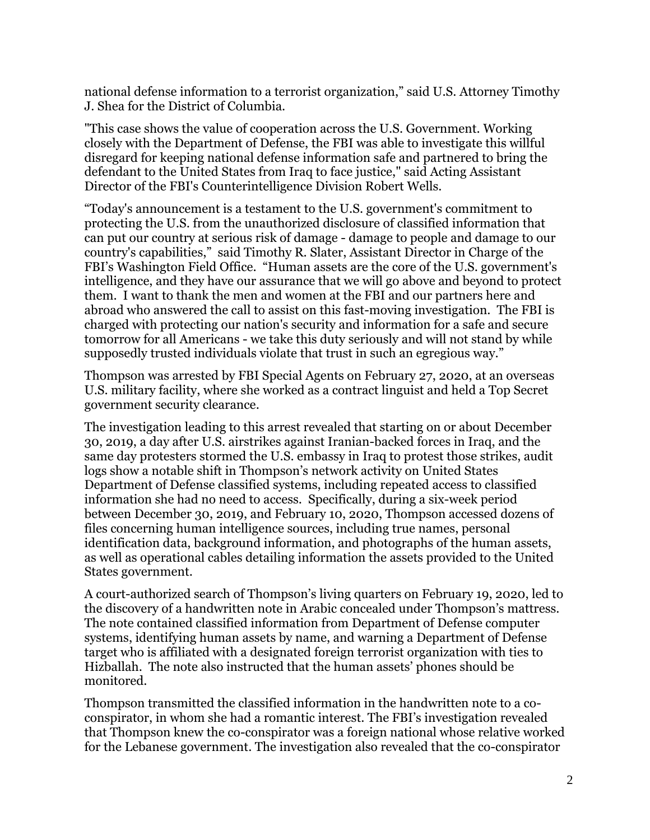national defense information to a terrorist organization," said U.S. Attorney Timothy J. Shea for the District of Columbia.

"This case shows the value of cooperation across the U.S. Government. Working closely with the Department of Defense, the FBI was able to investigate this willful disregard for keeping national defense information safe and partnered to bring the defendant to the United States from Iraq to face justice," said Acting Assistant Director of the FBI's Counterintelligence Division Robert Wells.

"Today's announcement is a testament to the U.S. government's commitment to protecting the U.S. from the unauthorized disclosure of classified information that can put our country at serious risk of damage - damage to people and damage to our country's capabilities," said Timothy R. Slater, Assistant Director in Charge of the FBI's Washington Field Office. "Human assets are the core of the U.S. government's intelligence, and they have our assurance that we will go above and beyond to protect them. I want to thank the men and women at the FBI and our partners here and abroad who answered the call to assist on this fast-moving investigation. The FBI is charged with protecting our nation's security and information for a safe and secure tomorrow for all Americans - we take this duty seriously and will not stand by while supposedly trusted individuals violate that trust in such an egregious way."

Thompson was arrested by FBI Special Agents on February 27, 2020, at an overseas U.S. military facility, where she worked as a contract linguist and held a Top Secret government security clearance.

The investigation leading to this arrest revealed that starting on or about December 30, 2019, a day after U.S. airstrikes against Iranian-backed forces in Iraq, and the same day protesters stormed the U.S. embassy in Iraq to protest those strikes, audit logs show a notable shift in Thompson's network activity on United States Department of Defense classified systems, including repeated access to classified information she had no need to access. Specifically, during a six-week period between December 30, 2019, and February 10, 2020, Thompson accessed dozens of files concerning human intelligence sources, including true names, personal identification data, background information, and photographs of the human assets, as well as operational cables detailing information the assets provided to the United States government.

A court-authorized search of Thompson's living quarters on February 19, 2020, led to the discovery of a handwritten note in Arabic concealed under Thompson's mattress. The note contained classified information from Department of Defense computer systems, identifying human assets by name, and warning a Department of Defense target who is affiliated with a designated foreign terrorist organization with ties to Hizballah. The note also instructed that the human assets' phones should be monitored.

Thompson transmitted the classified information in the handwritten note to a coconspirator, in whom she had a romantic interest. The FBI's investigation revealed that Thompson knew the co-conspirator was a foreign national whose relative worked for the Lebanese government. The investigation also revealed that the co-conspirator